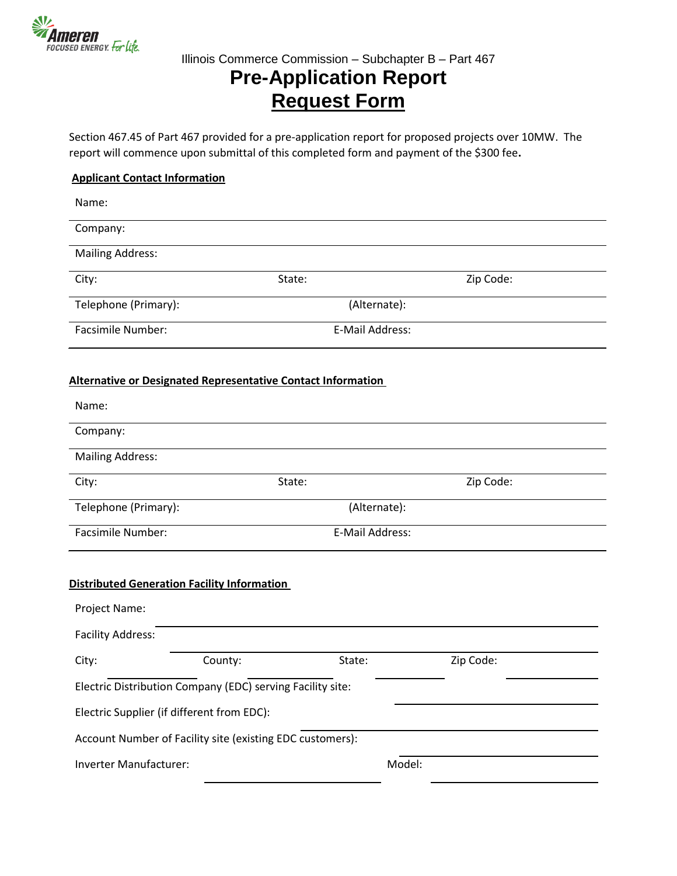

## **Pre-Application Report Request Form**

Section 467.45 of Part 467 provided for a pre-application report for proposed projects over 10MW. The report will commence upon submittal of this completed form and payment of the \$300 fee**.**

### **Applicant Contact Information**

| Name:                                              |                                                                     |                 |           |  |
|----------------------------------------------------|---------------------------------------------------------------------|-----------------|-----------|--|
| Company:                                           |                                                                     |                 |           |  |
| <b>Mailing Address:</b>                            |                                                                     |                 |           |  |
| City:                                              | State:                                                              |                 | Zip Code: |  |
| Telephone (Primary):                               |                                                                     | (Alternate):    |           |  |
| Facsimile Number:                                  |                                                                     | E-Mail Address: |           |  |
|                                                    | <b>Alternative or Designated Representative Contact Information</b> |                 |           |  |
| Name:                                              |                                                                     |                 |           |  |
| Company:                                           |                                                                     |                 |           |  |
| <b>Mailing Address:</b>                            |                                                                     |                 |           |  |
| City:                                              | State:                                                              |                 | Zip Code: |  |
| Telephone (Primary):                               |                                                                     | (Alternate):    |           |  |
| Facsimile Number:                                  |                                                                     | E-Mail Address: |           |  |
| <b>Distributed Generation Facility Information</b> |                                                                     |                 |           |  |
| Project Name:                                      |                                                                     |                 |           |  |
| <b>Facility Address:</b>                           |                                                                     |                 |           |  |
| City:                                              | County:                                                             | State:          | Zip Code: |  |
|                                                    | Electric Distribution Company (EDC) serving Facility site:          |                 |           |  |
| Electric Supplier (if different from EDC):         |                                                                     |                 |           |  |
|                                                    | Account Number of Facility site (existing EDC customers):           |                 |           |  |
| Inverter Manufacturer:                             |                                                                     | Model:          |           |  |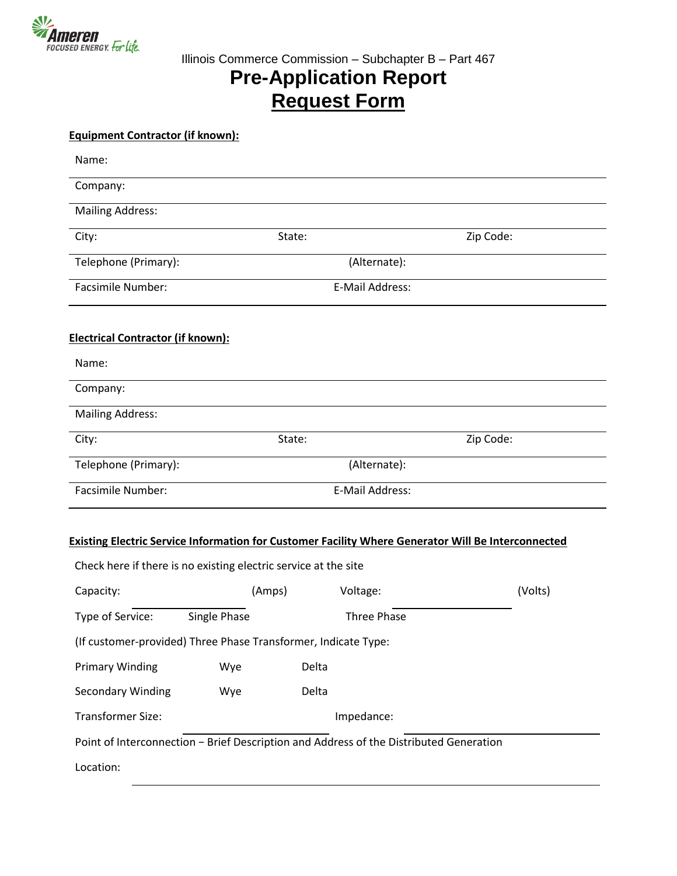

## **Pre-Application Report Request Form**

| <b>Equipment Contractor (if known):</b>  |                                                                 |                                                                                                           |           |
|------------------------------------------|-----------------------------------------------------------------|-----------------------------------------------------------------------------------------------------------|-----------|
| Name:                                    |                                                                 |                                                                                                           |           |
| Company:                                 |                                                                 |                                                                                                           |           |
| <b>Mailing Address:</b>                  |                                                                 |                                                                                                           |           |
| City:                                    | State:                                                          |                                                                                                           | Zip Code: |
| Telephone (Primary):                     |                                                                 | (Alternate):                                                                                              |           |
| <b>Facsimile Number:</b>                 |                                                                 | E-Mail Address:                                                                                           |           |
| <b>Electrical Contractor (if known):</b> |                                                                 |                                                                                                           |           |
| Name:                                    |                                                                 |                                                                                                           |           |
| Company:                                 |                                                                 |                                                                                                           |           |
| <b>Mailing Address:</b>                  |                                                                 |                                                                                                           |           |
| City:                                    | State:                                                          |                                                                                                           | Zip Code: |
| Telephone (Primary):                     |                                                                 | (Alternate):                                                                                              |           |
| Facsimile Number:                        |                                                                 | E-Mail Address:                                                                                           |           |
|                                          | Check here if there is no existing electric service at the site | <b>Existing Electric Service Information for Customer Facility Where Generator Will Be Interconnected</b> |           |
| Capacity:                                | (Amps)                                                          | Voltage:                                                                                                  | (Volts)   |
| Type of Service:                         | Single Phase                                                    | Three Phase                                                                                               |           |
|                                          | (If customer-provided) Three Phase Transformer, Indicate Type:  |                                                                                                           |           |
| <b>Primary Winding</b>                   | Wye                                                             | Delta                                                                                                     |           |
| <b>Secondary Winding</b>                 | Wye                                                             | Delta                                                                                                     |           |
| <b>Transformer Size:</b>                 |                                                                 | Impedance:                                                                                                |           |
|                                          |                                                                 | Point of Interconnection - Brief Description and Address of the Distributed Generation                    |           |
| Location:                                |                                                                 |                                                                                                           |           |
|                                          |                                                                 |                                                                                                           |           |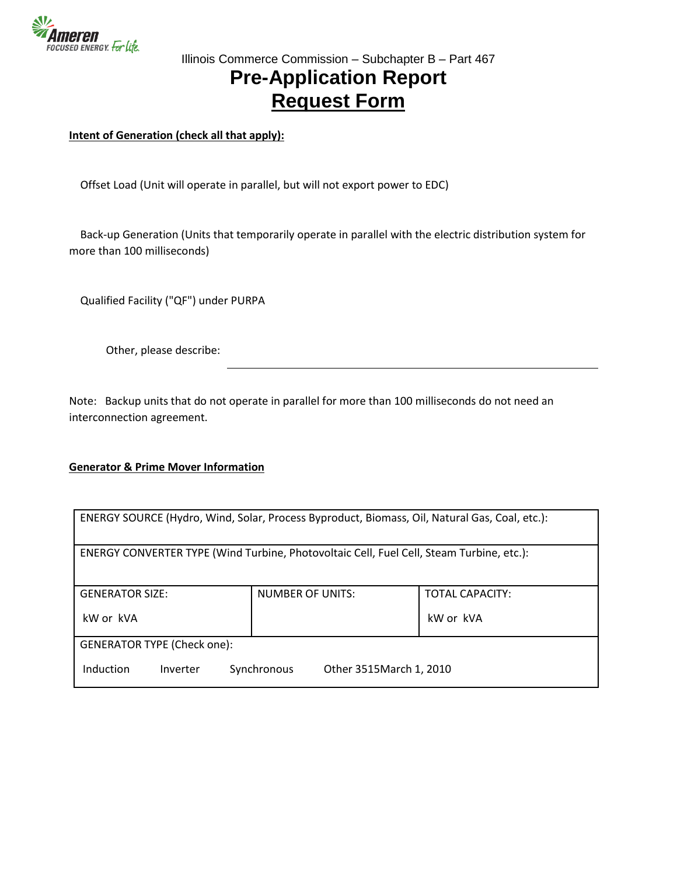

### Illinois Commerce Commission – Subchapter B – Part 467 **Pre-Application Report Request Form**

**Intent of Generation (check all that apply):**

Offset Load (Unit will operate in parallel, but will not export power to EDC)

 Back-up Generation (Units that temporarily operate in parallel with the electric distribution system for more than 100 milliseconds)

Qualified Facility ("QF") under PURPA

Other, please describe:

Note: Backup units that do not operate in parallel for more than 100 milliseconds do not need an interconnection agreement.

#### **Generator & Prime Mover Information**

| ENERGY SOURCE (Hydro, Wind, Solar, Process Byproduct, Biomass, Oil, Natural Gas, Coal, etc.): |                                         |                        |  |  |
|-----------------------------------------------------------------------------------------------|-----------------------------------------|------------------------|--|--|
| ENERGY CONVERTER TYPE (Wind Turbine, Photovoltaic Cell, Fuel Cell, Steam Turbine, etc.):      |                                         |                        |  |  |
| <b>GENERATOR SIZE:</b>                                                                        | <b>NUMBER OF UNITS:</b>                 | <b>TOTAL CAPACITY:</b> |  |  |
| kW or kVA                                                                                     |                                         | kW or kVA              |  |  |
| <b>GENERATOR TYPE (Check one):</b>                                                            |                                         |                        |  |  |
| Induction<br>Inverter                                                                         | Synchronous<br>Other 3515 March 1, 2010 |                        |  |  |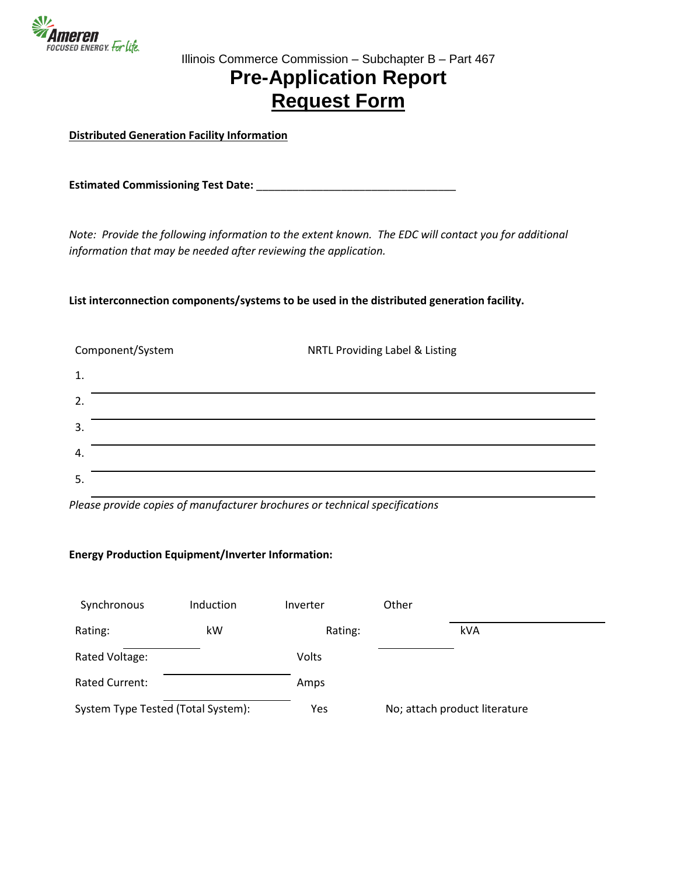

## **Pre-Application Report Request Form**

**Distributed Generation Facility Information**

**Estimated Commissioning Test Date:** \_\_\_\_\_\_\_\_\_\_\_\_\_\_\_\_\_\_\_\_\_\_\_\_\_\_\_\_\_\_\_\_\_

*Note: Provide the following information to the extent known. The EDC will contact you for additional information that may be needed after reviewing the application.*

**List interconnection components/systems to be used in the distributed generation facility.**

| Component/System | NRTL Providing Label & Listing |
|------------------|--------------------------------|
| $\mathbf{1}$ .   |                                |
| 2.               |                                |
| 3.               |                                |
| 4.               |                                |
| 5.               |                                |

*Please provide copies of manufacturer brochures or technical specifications*

#### **Energy Production Equipment/Inverter Information:**

| Synchronous                        | Induction | Inverter | Other                         |  |
|------------------------------------|-----------|----------|-------------------------------|--|
| Rating:                            | kW        | Rating:  | kVA                           |  |
| Rated Voltage:                     |           | Volts    |                               |  |
| <b>Rated Current:</b>              |           | Amps     |                               |  |
| System Type Tested (Total System): |           | Yes      | No; attach product literature |  |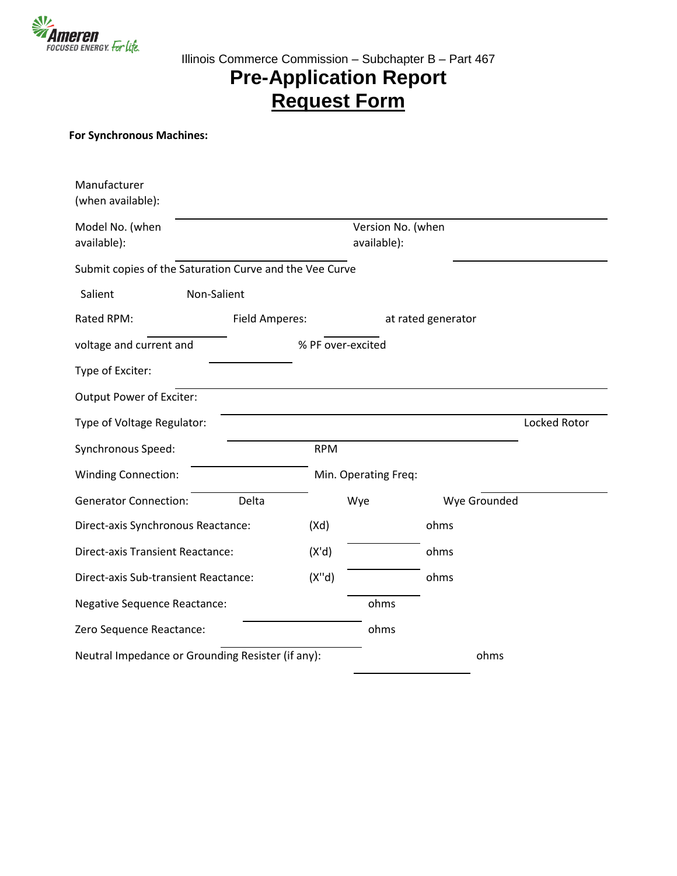

# **Pre-Application Report Request Form**

### **For Synchronous Machines:**

| Manufacturer<br>(when available):                       |                |                   |                                  |                    |              |
|---------------------------------------------------------|----------------|-------------------|----------------------------------|--------------------|--------------|
| Model No. (when<br>available):                          |                |                   | Version No. (when<br>available): |                    |              |
| Submit copies of the Saturation Curve and the Vee Curve |                |                   |                                  |                    |              |
| Salient                                                 | Non-Salient    |                   |                                  |                    |              |
| Rated RPM:                                              | Field Amperes: |                   |                                  | at rated generator |              |
| voltage and current and                                 |                | % PF over-excited |                                  |                    |              |
| Type of Exciter:                                        |                |                   |                                  |                    |              |
| Output Power of Exciter:                                |                |                   |                                  |                    |              |
| Type of Voltage Regulator:                              |                |                   |                                  |                    | Locked Rotor |
| Synchronous Speed:                                      |                | <b>RPM</b>        |                                  |                    |              |
| <b>Winding Connection:</b>                              |                |                   | Min. Operating Freq:             |                    |              |
| <b>Generator Connection:</b>                            | Delta          |                   | Wye                              | Wye Grounded       |              |
| Direct-axis Synchronous Reactance:                      |                | (Xd)              |                                  | ohms               |              |
| <b>Direct-axis Transient Reactance:</b>                 |                | (X'd)             |                                  | ohms               |              |
| Direct-axis Sub-transient Reactance:                    |                | (X''d)            |                                  | ohms               |              |
| <b>Negative Sequence Reactance:</b>                     |                |                   | ohms                             |                    |              |
| Zero Sequence Reactance:                                |                |                   | ohms                             |                    |              |
| Neutral Impedance or Grounding Resister (if any):       |                |                   |                                  | ohms               |              |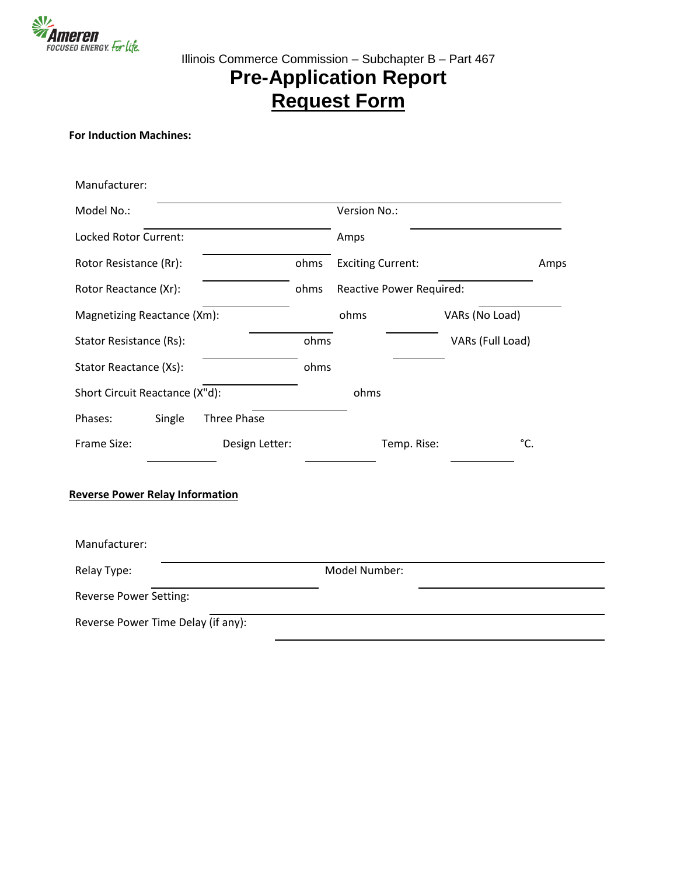

# **Pre-Application Report Request Form**

### **For Induction Machines:**

| Manufacturer:                          |                |      |                          |                                 |                  |      |
|----------------------------------------|----------------|------|--------------------------|---------------------------------|------------------|------|
| Model No.:                             |                |      | Version No.:             |                                 |                  |      |
| Locked Rotor Current:                  |                |      | Amps                     |                                 |                  |      |
| Rotor Resistance (Rr):                 |                | ohms | <b>Exciting Current:</b> |                                 |                  | Amps |
| Rotor Reactance (Xr):                  |                | ohms |                          | <b>Reactive Power Required:</b> |                  |      |
| Magnetizing Reactance (Xm):            |                |      | ohms                     |                                 | VARs (No Load)   |      |
| Stator Resistance (Rs):                |                | ohms |                          |                                 | VARs (Full Load) |      |
| Stator Reactance (Xs):                 |                | ohms |                          |                                 |                  |      |
| Short Circuit Reactance (X"d):         |                |      | ohms                     |                                 |                  |      |
| Single<br>Phases:                      | Three Phase    |      |                          |                                 |                  |      |
| Frame Size:                            | Design Letter: |      |                          | Temp. Rise:                     |                  | °C.  |
| <b>Reverse Power Relay Information</b> |                |      |                          |                                 |                  |      |
| Manufacturer:                          |                |      |                          |                                 |                  |      |
| Relay Type:                            |                |      | Model Number:            |                                 |                  |      |
| <b>Reverse Power Setting:</b>          |                |      |                          |                                 |                  |      |
| Reverse Power Time Delay (if any):     |                |      |                          |                                 |                  |      |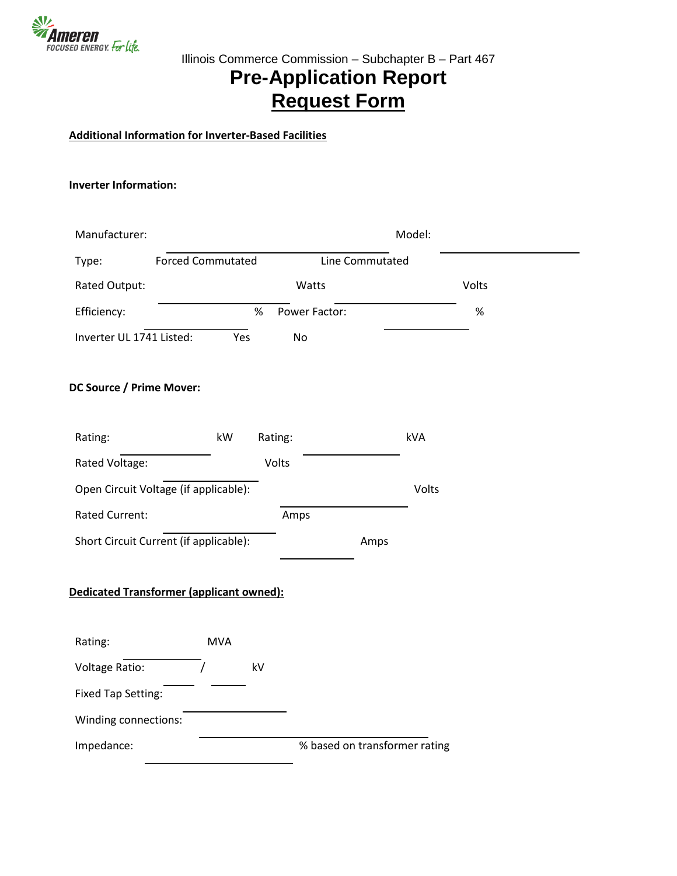

# **Pre-Application Report Request Form**

### **Additional Information for Inverter-Based Facilities**

#### **Inverter Information:**

| Manufacturer:                   |                                          |                       | Model:                        |       |
|---------------------------------|------------------------------------------|-----------------------|-------------------------------|-------|
| Type:                           | <b>Forced Commutated</b>                 |                       | Line Commutated               |       |
| Rated Output:                   |                                          | Watts                 |                               | Volts |
| Efficiency:                     |                                          | $\%$<br>Power Factor: |                               | $\%$  |
| Inverter UL 1741 Listed:        | Yes                                      | No                    |                               |       |
| <b>DC Source / Prime Mover:</b> |                                          |                       |                               |       |
| Rating:                         | kW                                       | Rating:               | kVA                           |       |
| Rated Voltage:                  |                                          | Volts                 |                               |       |
|                                 | Open Circuit Voltage (if applicable):    |                       | Volts                         |       |
| <b>Rated Current:</b>           |                                          | Amps                  |                               |       |
|                                 | Short Circuit Current (if applicable):   |                       | Amps                          |       |
|                                 | Dedicated Transformer (applicant owned): |                       |                               |       |
| Rating:                         | <b>MVA</b>                               |                       |                               |       |
| Voltage Ratio:                  | $\prime$                                 | kV                    |                               |       |
| <b>Fixed Tap Setting:</b>       |                                          |                       |                               |       |
| Winding connections:            |                                          |                       |                               |       |
| Impedance:                      |                                          |                       | % based on transformer rating |       |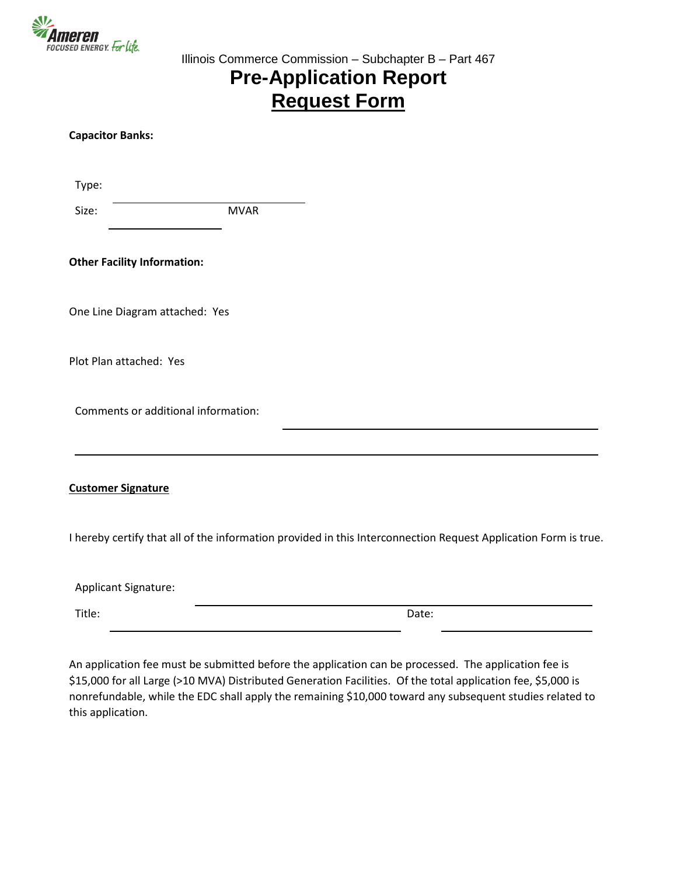

## **Pre-Application Report Request Form**

| <b>Capacitor Banks:</b>             |             |                                                                                                                 |
|-------------------------------------|-------------|-----------------------------------------------------------------------------------------------------------------|
| Type:                               |             |                                                                                                                 |
| Size:                               | <b>MVAR</b> |                                                                                                                 |
| <b>Other Facility Information:</b>  |             |                                                                                                                 |
| One Line Diagram attached: Yes      |             |                                                                                                                 |
| Plot Plan attached: Yes             |             |                                                                                                                 |
| Comments or additional information: |             |                                                                                                                 |
| <b>Customer Signature</b>           |             |                                                                                                                 |
|                                     |             | I hereby certify that all of the information provided in this Interconnection Request Application Form is true. |
| Applicant Signature:                |             |                                                                                                                 |
| Title:                              |             | Date:                                                                                                           |

An application fee must be submitted before the application can be processed. The application fee is \$15,000 for all Large (>10 MVA) Distributed Generation Facilities. Of the total application fee, \$5,000 is nonrefundable, while the EDC shall apply the remaining \$10,000 toward any subsequent studies related to this application.